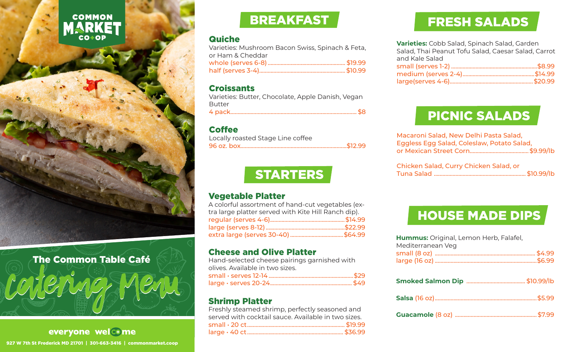# **COMMON** MARKET



#### The Common Table Café

**Smoked Salmon Dip** ......................................... \$10.99/lb Catering Menu

everyone welc+me 927 W 7th St Frederick MD 21701 | 301-663-3416 | commonmarket.coop

## BREAKFAST

#### **Quiche**

| Varieties: Mushroom Bacon Swiss, Spinach & Feta, |  |
|--------------------------------------------------|--|
| or Ham & Cheddar                                 |  |
|                                                  |  |
|                                                  |  |
|                                                  |  |

#### **Croissants**

Varieties: Butter, Chocolate, Apple Danish, Vegan Butter 4 pack........................................................................................ \$8

#### **Coffee**

| Locally roasted Stage Line coffee |  |
|-----------------------------------|--|
|                                   |  |

# **STARTERS**

#### Vegetable Platter

A colorful assortment of hand-cut vegetables (extra large platter served with Kite Hill Ranch dip). regular (serves 4-6)....................................................\$14.99 large (serves 8-12).......................................................\$22.99 extra large (serves 30-40).....................................\$64.99

#### Cheese and Olive Platter

Hand-selected cheese pairings garnished with olives. Available in two sizes. small • serves 12-14...........................................................\$29 large • serves 20-24......................................................... \$49

#### Shrimp Platter

Freshly steamed shrimp, perfectly seasoned and served with cocktail sauce. Available in two sizes. small • 20 ct.................................................................... \$19.99 large • 40 ct................................................................... \$36.99

# FRESH SALADS

**Varieties:** Cobb Salad, Spinach Salad, Garden Salad, Thai Peanut Tofu Salad, Caesar Salad, Carrot and Kale Salad small (serves 1-2) ............................................................\$8.99 medium (serves 2-4)..................................................\$14.99 large(serves 4-6)..........................................................\$20.99

## PICNIC SALADS

| Macaroni Salad, New Delhi Pasta Salad,     |  |
|--------------------------------------------|--|
| Eggless Egg Salad, Coleslaw, Potato Salad, |  |
|                                            |  |
|                                            |  |

| Chicken Salad, Curry Chicken Salad, or |  |
|----------------------------------------|--|
|                                        |  |

# HOUSE MADE DIPS

| <b>Hummus:</b> Original, Lemon Herb, Falafel, |  |
|-----------------------------------------------|--|
| Mediterranean Veg                             |  |
|                                               |  |
|                                               |  |